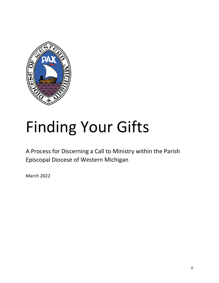

# Finding Your Gifts

A Process for Discerning a Call to Ministry within the Parish Episcopal Diocese of Western Michigan

March 2022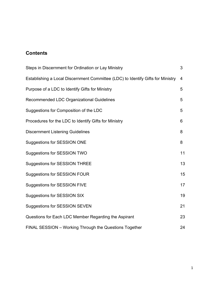## **Contents**

| Steps in Discernment for Ordination or Lay Ministry                             |                |  |  |
|---------------------------------------------------------------------------------|----------------|--|--|
| Establishing a Local Discernment Committee (LDC) to Identify Gifts for Ministry | $\overline{4}$ |  |  |
| Purpose of a LDC to Identify Gifts for Ministry                                 | 5              |  |  |
| Recommended LDC Organizational Guidelines                                       | 5              |  |  |
| Suggestions for Composition of the LDC                                          | 5              |  |  |
| Procedures for the LDC to Identify Gifts for Ministry                           | 6              |  |  |
| <b>Discernment Listening Guidelines</b>                                         | 8              |  |  |
| <b>Suggestions for SESSION ONE</b>                                              | 8              |  |  |
| Suggestions for SESSION TWO                                                     | 11             |  |  |
| <b>Suggestions for SESSION THREE</b>                                            | 13             |  |  |
| <b>Suggestions for SESSION FOUR</b>                                             | 15             |  |  |
| <b>Suggestions for SESSION FIVE</b>                                             | 17             |  |  |
| <b>Suggestions for SESSION SIX</b>                                              | 19             |  |  |
| <b>Suggestions for SESSION SEVEN</b>                                            | 21             |  |  |
| Questions for Each LDC Member Regarding the Aspirant                            | 23             |  |  |
| FINAL SESSION - Working Through the Questions Together                          | 24             |  |  |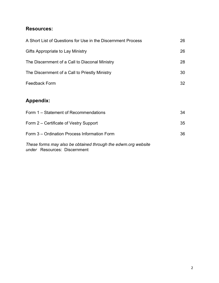## **Resources:**

| A Short List of Questions for Use in the Discernment Process                                  | 26 |  |
|-----------------------------------------------------------------------------------------------|----|--|
| Gifts Appropriate to Lay Ministry                                                             | 26 |  |
| The Discernment of a Call to Diaconal Ministry                                                | 28 |  |
| The Discernment of a Call to Priestly Ministry                                                | 30 |  |
| <b>Feedback Form</b>                                                                          | 32 |  |
| <b>Appendix:</b>                                                                              |    |  |
| Form 1 - Statement of Recommendations                                                         | 34 |  |
| Form 2 – Certificate of Vestry Support                                                        | 35 |  |
| Form 3 – Ordination Process Information Form                                                  | 36 |  |
| These forms may also be obtained through the edwm.org website<br>under Resources: Discernment |    |  |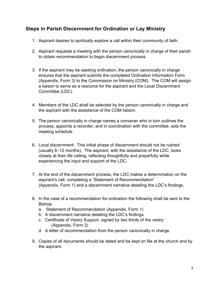## **Steps in Parish Discernment for Ordination or Lay Ministry**

- 1. Aspirant desires to spiritually explore a call within their community of faith.
- 2. Aspirant requests a meeting with the person canonically in charge of their parish to obtain recommendation to begin discernment process.
- 3. If the aspirant may be seeking ordination, the person canonically in charge ensures that the aspirant submits the completed Ordination Information Form (Appendix, Form 3) to the Commission on Ministry (COM). The COM will assign a liaison to serve as a resource for the aspirant and the Local Discernment Committee (LDC).
- 4. Members of the LDC shall be selected by the person canonically in charge and the aspirant with the assistance of the COM liaison.
- 5. The person canonically in charge names a convener who in turn outlines the process, appoints a recorder, and in coordination with the committee, sets the meeting schedule.
- 6. Local discernment: This initial phase of discernment should not be rushed (usually 6–12 months). The aspirant, with the assistance of the LDC, looks closely at their life calling, reflecting thoughtfully and prayerfully while experiencing the input and support of the LDC.
- 7. At the end of the discernment process, the LDC makes a determination on the aspirant's call, completing a "Statement of Recommendation" (Appendix, Form 1) and a discernment narrative detailing the LDC's findings.
- 8. In the case of a recommendation for ordination the following shall be sent to the Bishop:
	- a. Statement of Recommendation (Appendix, Form 1)
	- b. A discernment narrative detailing the LDC's findings.
	- c. Certificate of Vestry Support, signed by two thirds of the vestry (Appendix, Form 2)
	- d. A letter of recommendation from the person canonically in charge.
- 9. Copies of all documents should be dated and be kept on file at the church and by the aspirant.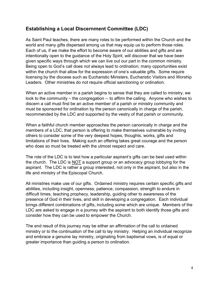## **Establishing a Local Discernment Committee (LDC)**

As Saint Paul teaches, there are many roles to be performed within the Church and the world and many gifts dispersed among us that may equip us to perform those roles. Each of us, if we make the effort to become aware of our abilities and gifts and are intentionally open to the guidance of the Holy Spirit, will discover that we have been given specific ways through which we can live out our part in the common ministry. Being open to God's call does not always lead to ordination; many opportunities exist within the church that allow for the expression of one's valuable gifts. Some require licensing by the diocese such as Eucharistic Ministers, Eucharistic Visitors and Worship Leaders. Other ministries do not require official sanctioning or ordination.

When an active member in a parish begins to sense that they are called to ministry, we look to the community – the congregation -- to affirm the calling. Anyone who wishes to discern a call must first be an active member of a parish or ministry community and must be sponsored for ordination by the person canonically in charge of the parish, recommended by the LDC and supported by the vestry of that parish or community.

When a faithful church member approaches the person canonically in charge and the members of a LDC, that person is offering to make themselves vulnerable by inviting others to consider some of the very deepest hopes, thoughts, works, gifts and limitations of their lives. Making such an offering takes great courage and the person who does so must be treated with the utmost respect and care.

The role of the LDC is to test how a particular aspirant's gifts can be best used within the church. The LDC is NOT a support group or an advocacy group lobbying for the aspirant. The LDC is rather a group interested, not only in the aspirant, but also in the life and ministry of the Episcopal Church.

All ministries make use of our gifts. Ordained ministry requires certain specific gifts and abilities, including insight, openness, patience, compassion, strength to endure in difficult times, teaching prophecy, leadership, guiding other to awareness of the presence of God in their lives, and skill in developing a congregation. Each individual brings different combinations of gifts, including some which are unique. Members of the LDC are asked to engage in a journey with the aspirant to both identify those gifts and consider how they can be used to empower the Church.

The end result of this journey may be either an affirmation of the call to ordained ministry or to the continuation of the call to lay ministry. Helping an individual recognize and embrace a genuine lay ministry, originating from baptismal vows, is of equal or greater importance than guiding a person to ordination.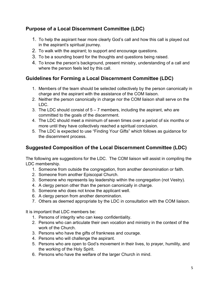## **Purpose of a Local Discernment Committee (LDC)**

- 1. To help the aspirant hear more clearly God's call and how this call is played out in the aspirant's spiritual journey.
- 2. To walk with the aspirant; to support and encourage questions.
- 3. To be a sounding board for the thoughts and questions being raised.
- 4. To know the person's background, present ministry, understanding of a call and where the person feels led by this call.

## **Guidelines for Forming a Local Discernment Committee (LDC)**

- 1. Members of the team should be selected collectively by the person canonically in charge and the aspirant with the assistance of the COM liaison.
- 2. Neither the person canonically in charge nor the COM liaison shall serve on the LDC.
- 3. The LDC should consist of  $5 7$  members, including the aspirant, who are committed to the goals of the discernment.
- 4. The LDC should meet a minimum of seven times over a period of six months or more until they have collectively reached a spiritual conclusion.
- 5. The LDC is expected to use "Finding Your Gifts" which follows as guidance for the discernment process.

## **Suggested Composition of the Local Discernment Committee (LDC)**

The following are suggestions for the LDC. The COM liaison will assist in compiling the LDC membership.

- 1. Someone from outside the congregation, from another denomination or faith.
- 2. Someone from another Episcopal Church.
- 3. Someone who represents lay leadership within the congregation (not Vestry).
- 4. A clergy person other than the person canonically in charge.
- 5. Someone who does not know the applicant well.
- 6. A clergy person from another denomination.
- 7. Others as deemed appropriate by the LDC in consultation with the COM liaison.

It is important that LDC members be:

- 1. Persons of integrity who can keep confidentiality.
- 2. Persons who can articulate their own vocation and ministry in the context of the work of the Church.
- 3. Persons who have the gifts of frankness and courage.
- 4. Persons who will challenge the aspirant.
- 5. Persons who are open to God's movement in their lives, to prayer, humility, and the working of the Holy Spirit.
- 6. Persons who have the welfare of the larger Church in mind.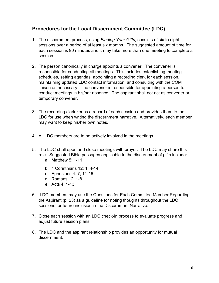## **Procedures for the Local Discernment Committee (LDC)**

- 1. The discernment process, using *Finding Your Gifts*, consists of six to eight sessions over a period of at least six months. The suggested amount of time for each session is 90 minutes and it may take more than one meeting to complete a session.
- 2. The person canonically in charge appoints a convener. The convener is responsible for conducting all meetings. This includes establishing meeting schedules, setting agendas, appointing a recording clerk for each session, maintaining updated LDC contact information, and consulting with the COM liaison as necessary. The convener is responsible for appointing a person to conduct meetings in his/her absence. The aspirant shall not act as convener or temporary convener.
- 3. The recording clerk keeps a record of each session and provides them to the LDC for use when writing the discernment narrative. Alternatively, each member may want to keep his/her own notes.
- 4. All LDC members are to be actively involved in the meetings.
- 5. The LDC shall open and close meetings with prayer. The LDC may share this role. Suggested Bible passages applicable to the discernment of gifts include:
	- a. Matthew 5: 1-11
	- b. 1 Corinthians 12: 1, 4-14
	- c. Ephesians 4: 7, 11-16
	- d. Romans 12: 1-8
	- e. Acts 4: 1-13
- 6. LDC members may use the Questions for Each Committee Member Regarding the Aspirant (p. 23) as a guideline for noting thoughts throughout the LDC sessions for future inclusion in the Discernment Narrative.
- 7. Close each session with an LDC check-in process to evaluate progress and adjust future session plans.
- 8. The LDC and the aspirant relationship provides an opportunity for mutual discernment.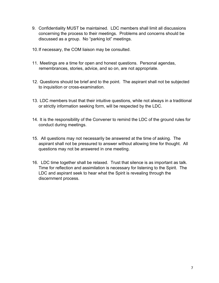- 9. Confidentiality MUST be maintained. LDC members shall limit all discussions concerning the process to their meetings. Problems and concerns should be discussed as a group. No "parking lot" meetings.
- 10.If necessary, the COM liaison may be consulted.
- 11. Meetings are a time for open and honest questions. Personal agendas, remembrances, stories, advice, and so on, are not appropriate.
- 12. Questions should be brief and to the point. The aspirant shall not be subjected to inquisition or cross-examination.
- 13. LDC members trust that their intuitive questions, while not always in a traditional or strictly information seeking form, will be respected by the LDC.
- 14. It is the responsibility of the Convener to remind the LDC of the ground rules for conduct during meetings.
- 15. All questions may not necessarily be answered at the time of asking. The aspirant shall not be pressured to answer without allowing time for thought. All questions may not be answered in one meeting.
- 16. LDC time together shall be relaxed. Trust that silence is as important as talk. Time for reflection and assimilation is necessary for listening to the Spirit. The LDC and aspirant seek to hear what the Spirit is revealing through the discernment process.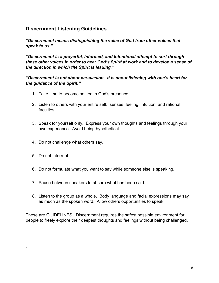## **Discernment Listening Guidelines**

*"Discernment means distinguishing the voice of God from other voices that speak to us."*

*"Discernment is a prayerful, informed, and intentional attempt to sort through these other voices in order to hear God's Spirit at work and to develop a sense of the direction in which the Spirit is leading."*

#### *"Discernment is not about persuasion. It is about listening with one's heart for the guidance of the Spirit."*

- 1. Take time to become settled in God's presence.
- 2. Listen to others with your entire self: senses, feeling, intuition, and rational faculties.
- 3. Speak for yourself only. Express your own thoughts and feelings through your own experience. Avoid being hypothetical.
- 4. Do not challenge what others say.
- 5. Do not interrupt.

.

- 6. Do not formulate what you want to say while someone else is speaking.
- 7. Pause between speakers to absorb what has been said.
- 8. Listen to the group as a whole. Body language and facial expressions may say as much as the spoken word. Allow others opportunities to speak.

These are GUIDELINES. Discernment requires the safest possible environment for people to freely explore their deepest thoughts and feelings without being challenged.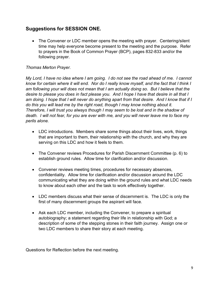## **Suggestions for SESSION ONE.**

• The Convener or LDC member opens the meeting with prayer. Centering/silent time may help everyone become present to the meeting and the purpose. Refer to prayers in the Book of Common Prayer (BCP), pages 832-833 and/or the following prayer.

#### *Thomas Merton Prayer.*

*My Lord, I have no idea where I am going. I do not see the road ahead of me. I cannot* know for certain where it will end. Nor do I really know myself, and the fact that I think I *am following your will does not mean that I am actually doing so. But I believe that the desire to please you does in fact please you. And I hope I have that desire in all that I am doing. I hope that I will never do anything apart from that desire. And I know that if I do this you will lead me by the right road, though I may know nothing about it. Therefore, I will trust you always though I may seem to be lost and in the shadow of death. I will not fear, for you are ever with me, and you will never leave me to face my perils alone.*

- LDC introductions. Members share some things about their lives, work, things that are important to them, their relationship with the church, and why they are serving on this LDC and how it feels to them.
- The Convener reviews Procedures for Parish Discernment Committee (p. 6) to establish ground rules. Allow time for clarification and/or discussion.
- Convener reviews meeting times, procedures for necessary absences, confidentiality. Allow time for clarification and/or discussion around the LDC communicating what they are doing within the ground rules and what LDC needs to know about each other and the task to work effectively together.
- LDC members discuss what their sense of discernment is. The LDC is only the first of many discernment groups the aspirant will face.
- Ask each LDC member, including the Convener, to prepare a spiritual autobiography; a statement regarding their life in relationship with God; a description of some of the stepping stones in their faith journey. Assign one or two LDC members to share their story at each meeting.

Questions for Reflection before the next meeting.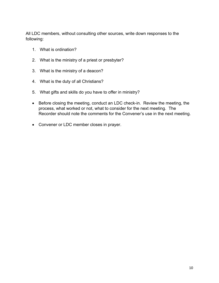All LDC members, without consulting other sources, write down responses to the following:

- 1. What is ordination?
- 2. What is the ministry of a priest or presbyter?
- 3. What is the ministry of a deacon?
- 4. What is the duty of all Christians?
- 5. What gifts and skills do you have to offer in ministry?
- Before closing the meeting, conduct an LDC check-in. Review the meeting, the process, what worked or not, what to consider for the next meeting. The Recorder should note the comments for the Convener's use in the next meeting.
- Convener or LDC member closes in prayer.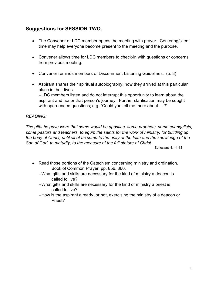## **Suggestions for SESSION TWO.**

- The Convener or LDC member opens the meeting with prayer. Centering/silent time may help everyone become present to the meeting and the purpose.
- Convener allows time for LDC members to check-in with questions or concerns from previous meeting.
- Convener reminds members of Discernment Listening Guidelines. (p. 8)
- Aspirant shares their spiritual autobiography; how they arrived at this particular place in their lives.

--LDC members listen and do not interrupt this opportunity to learn about the aspirant and honor that person's journey. Further clarification may be sought with open-ended questions; e.g. "Could you tell me more about….?"

#### *READING:*

*The gifts he gave were that some would be apostles, some prophets, some evangelists, some pastors and teachers, to equip the saints for the work of ministry, for building up* the body of Christ, until all of us come to the unity of the faith and the knowledge of the *Son of God, to maturity, to the measure of the full stature of Christ.* 

Ephesians 4: 11-13

- Read those portions of the Catechism concerning ministry and ordination. Book of Common Prayer, pp. 856, 860.
	- --What gifts and skills are necessary for the kind of ministry a deacon is called to live?
	- --What gifts and skills are necessary for the kind of ministry a priest is called to live?
	- --How is the aspirant already, or not, exercising the ministry of a deacon or Priest?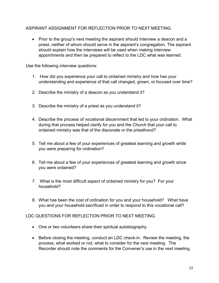#### ASPIRANT ASSIGNMENT FOR REFLECTION PRIOR TO NEXT MEETING.

• Prior to the group's next meeting the aspirant should interview a deacon and a priest, neither of whom should serve in the aspirant's congregation. The aspirant should explain how the interviews will be used when making interview appointments and then be prepared to reflect to the LDC what was learned.

Use the following interview questions:

- 1. How did you experience your call to ordained ministry and how has your understanding and experience of that call changed, grown, or focused over time?
- 2. Describe the ministry of a deacon as you understand it?
- 3. Describe the ministry of a priest as you understand it?
- 4. Describe the process of vocational discernment that led to your ordination. What during that process helped clarify for you and the Church that your call to ordained ministry was that of the diaconate or the priesthood?
- 5. Tell me about a few of your experiences of greatest learning and growth while you were preparing for ordination?
- 6. Tell me about a few of your experiences of greatest learning and growth since you were ordained?
- 7. What is the most difficult aspect of ordained ministry for you? For your household?
- 8. What has been the cost of ordination for you and your household? What have you and your household sacrificed in order to respond to this vocational call?

LDC QUESTIONS FOR REFLECTION PRIOR TO NEXT MEETING.

- One or two volunteers share their spiritual autobiography.
- Before closing the meeting, conduct an LDC check-in. Review the meeting, the process, what worked or not, what to consider for the next meeting. The Recorder should note the comments for the Convener's use in the next meeting.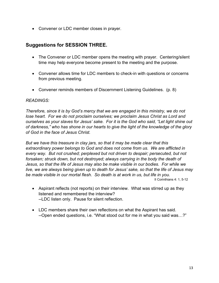• Convener or LDC member closes in prayer.

## **Suggestions for SESSION THREE.**

- The Convener or LDC member opens the meeting with prayer. Centering/silent time may help everyone become present to the meeting and the purpose.
- Convener allows time for LDC members to check-in with questions or concerns from previous meeting.
- Convener reminds members of Discernment Listening Guidelines. (p. 8)

#### *READINGS:*

*Therefore, since it is by God's mercy that we are engaged in this ministry, we do not lose heart. For we do not proclaim ourselves; we proclaim Jesus Christ as Lord and ourselves as your slaves for Jesus' sake. For it is the God who said, "Let light shine out of darkness," who has shone in our hearts to give the light of the knowledge of the glory of God in the face of Jesus Christ.*

*But we have this treasure in clay jars, so that it may be made clear that this extraordinary power belongs to God and does not come from us. We are afflicted in every way. But not crushed; perplexed but not driven to despair; persecuted, but not forsaken; struck down, but not destroyed; always carrying in the body the death of Jesus, so that the life of Jesus may also be make visible in our bodies. For while we live, we are always being given up to death for Jesus' sake, so that the life of Jesus may be made visible in our mortal flesh. So death is at work in us, but life in you.* II Corinthians 4: 1, 5-12

- Aspirant reflects (not reports) on their interview. What was stirred up as they listened and remembered the interview? --LDC listen only. Pause for silent reflection.
- LDC members share their own reflections on what the Aspirant has said. --Open ended questions, i.e. "What stood out for me in what you said was…?"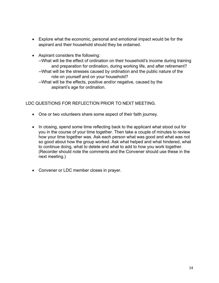- Explore what the economic, personal and emotional impact would be for the aspirant and their household should they be ordained.
- Aspirant considers the following:
	- --What will be the effect of ordination on their household's income during training and preparation for ordination, during working life, and after retirement?
	- --What will be the stresses caused by ordination and the public nature of the role on yourself and on your household?
	- --What will be the effects, positive and/or negative, caused by the aspirant's age for ordination.

LDC QUESTIONS FOR REFLECTION PRIOR TO NEXT MEETING.

- One or two volunteers share some aspect of their faith journey.
- In closing, spend some time reflecting back to the applicant what stood out for you in the course of your time together. Then take a couple of minutes to review how your time together was. Ask each person what was good and what was not so good about how the group worked. Ask what helped and what hindered, what to continue doing, what to delete and what to add to how you work together. (Recorder should note the comments and the Convener should use these in the next meeting.)
- Convener or LDC member closes in prayer.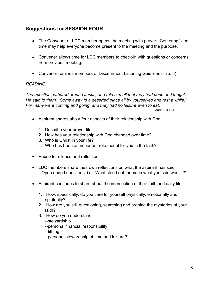## **Suggestions for SESSION FOUR.**

- The Convener or LDC member opens the meeting with prayer. Centering/silent time may help everyone become present to the meeting and the purpose.
- Convener allows time for LDC members to check-in with questions or concerns from previous meeting.
- Convener reminds members of Discernment Listening Guidelines. (p. 8)

#### *READING:*

*The apostles gathered around Jesus, and told him all that they had done and taught. He said to them, "Come away to a deserted place all by yourselves and rest a while." For many were coming and going, and they had no leisure even to eat.* Mark 6: 30-31

- Aspirant shares about four aspects of their relationship with God.
	- 1. Describe your prayer life.
	- 2. How has your relationship with God changed over time?
	- 3. Who is Christ in your life?
	- 4. Who has been an important role model for you in the faith?
- Pause for silence and reflection.
- LDC members share their own reflections on what the aspirant has said. --Open ended questions, i.e. "What stood out for me in what you said was…?"
- Aspirant continues to share about the intersection of their faith and daily life.
	- 1. How, specifically, do you care for yourself physically, emotionally and spiritually?
	- 2. How are you still questioning, searching and probing the mysteries of your faith?
	- 3. How do you understand:
		- --stewardship

--personal financial responsibility

--tithing

--personal stewardship of time and leisure?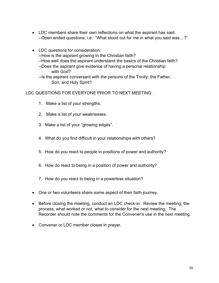- LDC members share their own reflections on what the aspirant has said. --Open ended questions, i.e. "What stood out for me in what you said was…?"
- LDC questions for consideration: --How is the aspirant growing in the Christian faith? --How well does the aspirant understand the basics of the Christian faith? --Does the aspirant give evidence of having a personal relationship with God?

--Is the aspirant conversant with the persons of the Trinity; the Father, Son, and Holy Spirit?

#### LDC QUESTIONS FOR EVERYONE PRIOR TO NEXT MEETING.

- 1. Make a list of your strengths.
- 2. Make a list of your weaknesses.
- 3. Make a list of your "growing edges".
- 4. What do you find difficult in your relationships with others?
- 5. How do you react to people in positions of power and authority?
- 6. How do react to being in a position of power and authority?
- 7. How do you react to being in a powerless situation?
- One or two volunteers share some aspect of their faith journey.
- Before closing the meeting, conduct an LDC check-in. Review the meeting, the process, what worked or not, what to consider for the next meeting. The Recorder should note the comments for the Convener's use in the next meeting.
- Convener or LDC member closes in prayer.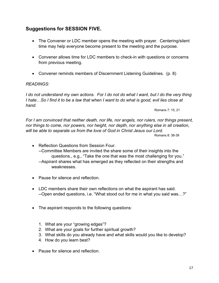## **Suggestions for SESSION FIVE.**

- The Convener or LDC member opens the meeting with prayer. Centering/silent time may help everyone become present to the meeting and the purpose.
- Convener allows time for LDC members to check-in with questions or concerns from previous meeting.
- Convener reminds members of Discernment Listening Guidelines. (p. 8)

#### *READINGS:*

I do not understand my own actions. For I do not do what I want, but I do the very thing I hate...So I find it to be a law that when I want to do what is good, evil lies close at *hand.*

Romans 7: 15, 21

*For I am convinced that neither death, nor life, nor angels, nor rulers, nor things present, nor things to come, nor powers, nor height, nor depth, nor anything else in all creation, will be able to separate us from the love of God in Christ Jesus our Lord.*

Romans 8: 38-39

- Reflection Questions from Session Four. --Committee Members are invited the share some of their insights into the questions., e.g., "Take the one that was the most challenging for you." --Aspirant shares what has emerged as they reflected on their strengths and weaknesses.
- Pause for silence and reflection.
- LDC members share their own reflections on what the aspirant has said. --Open ended questions, i.e. "What stood out for me in what you said was…?"
- The aspirant responds to the following questions:
	- 1. What are your "growing edges"?
	- 2. What are your goals for further spiritual growth?
	- 3. What skills do you already have and what skills would you like to develop?
	- 4. How do you learn best?
- Pause for silence and reflection.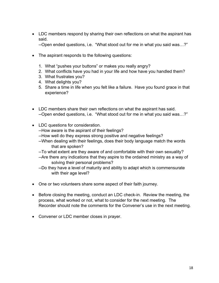• LDC members respond by sharing their own reflections on what the aspirant has said.

--Open ended questions, i.e. "What stood out for me in what you said was…?"

- The aspirant responds to the following questions:
	- 1. What "pushes your buttons" or makes you really angry?
	- 2. What conflicts have you had in your life and how have you handled them?
	- 3. What frustrates you?
	- 4. What delights you?
	- 5. Share a time in life when you felt like a failure. Have you found grace in that experience?
- LDC members share their own reflections on what the aspirant has said. --Open ended questions, i.e. "What stood out for me in what you said was…?"
- LDC questions for consideration.
	- --How aware is the aspirant of their feelings?
	- --How well do they express strong positive and negative feelings?
	- --When dealing with their feelings, does their body language match the words that are spoken?
	- --To what extent are they aware of and comfortable with their own sexuality?
	- --Are there any indications that they aspire to the ordained ministry as a way of solving their personal problems?
	- --Do they have a level of maturity and ability to adapt which is commensurate with their age level?
- One or two volunteers share some aspect of their faith journey.
- Before closing the meeting, conduct an LDC check-in. Review the meeting, the process, what worked or not, what to consider for the next meeting. The Recorder should note the comments for the Convener's use in the next meeting.
- Convener or LDC member closes in prayer.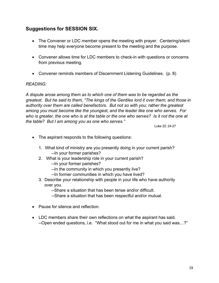## **Suggestions for SESSION SIX.**

- The Convener or LDC member opens the meeting with prayer. Centering/silent time may help everyone become present to the meeting and the purpose.
- Convener allows time for LDC members to check-in with questions or concerns from previous meeting.
- Convener reminds members of Discernment Listening Guidelines. (p. 8)

#### *READING:*

*A dispute arose among them as to which one of them was to be regarded as the greatest. But he said to them, "The kings of the Gentiles lord it over them; and those in authority over them are called benefactors. But not so with you; rather the greatest among you must become like the youngest, and the leader like one who serves. For* who is greater, the one who is at the table or the one who serves? Is it not the one at *the table? But I am among you as one who serves."*

Luke 22: 24-27

- The aspirant responds to the following questions:
	- 1. What kind of ministry are you presently doing in your current parish? --In your former parishes?
	- 2. What is your leadership role in your current parish?
		- --In your former parishes?
		- --In the community in which you presently live?
		- --In former communities in which you have lived?
	- 3. Describe your relationship with people in your life who have authority over you.

--Share a situation that has been tense and/or difficult.

- --Share a situation that has been respectful and/or mutual.
- Pause for silence and reflection.
- LDC members share their own reflections on what the aspirant has said. --Open ended questions, i.e. "What stood out for me in what you said was…?"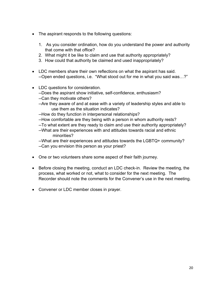- The aspirant responds to the following questions:
	- 1. As you consider ordination, how do you understand the power and authority that come with that office?
	- 2. What might it be like to claim and use that authority appropriately?
	- 3. How could that authority be claimed and used inappropriately?
- LDC members share their own reflections on what the aspirant has said. --Open ended questions, i.e. "What stood out for me in what you said was…?"
- LDC questions for consideration.
	- --Does the aspirant show initiative, self-confidence, enthusiasm?
	- --Can they motivate others?
	- --Are they aware of and at ease with a variety of leadership styles and able to use them as the situation indicates?
	- --How do they function in interpersonal relationships?
	- --How comfortable are they being with a person in whom authority rests?
	- --To what extent are they ready to claim and use their authority appropriately?
	- --What are their experiences with and attitudes towards racial and ethnic minorities?

--What are their experiences and attitudes towards the LGBTQ+ community? --Can you envision this person as your priest?

- One or two volunteers share some aspect of their faith journey.
- Before closing the meeting, conduct an LDC check-in. Review the meeting, the process, what worked or not, what to consider for the next meeting. The Recorder should note the comments for the Convener's use in the next meeting.
- Convener or LDC member closes in prayer.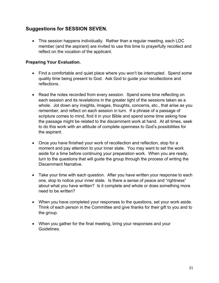## **Suggestions for SESSION SEVEN.**

• This session happens individually. Rather than a regular meeting, each LDC member (and the aspirant) are invited to use this time to prayerfully recollect and reflect on the vocation of the applicant.

#### **Preparing Your Evaluation.**

- Find a comfortable and quiet place where you won't be interrupted. Spend some quality time being present to God. Ask God to guide your recollections and reflections.
- Read the notes recorded from every session. Spend some time reflecting on each session and its revelations in the greater light of the sessions taken as a whole. Jot down any insights, images, thoughts, concerns, etc., that arise as you remember, and reflect on each session in turn. If a phrase of a passage of scripture comes to mind, find it in your Bible and spend some time asking how the passage might be related to the discernment work at hand. At all times, seek to do this work with an attitude of complete openness to God's possibilities for the aspirant.
- Once you have finished your work of recollection and reflection, stop for a moment and pay attention to your inner state. You may want to set the work aside for a time before continuing your preparation work. When you are ready, turn to the questions that will guide the group through the process of writing the Discernment Narrative.
- Take your time with each question. After you have written your response to each one, stop to notice your inner state. Is there a sense of peace and "rightness" about what you have written? Is it complete and whole or does something more need to be written?
- When you have completed your responses to the questions, set your work aside. Think of each person in the Committee and give thanks for their gift to you and to the group.
- When you gather for the final meeting, bring your responses and your Guidelines.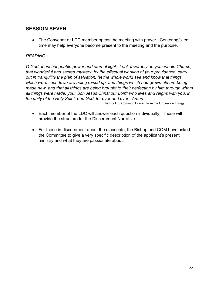## **SESSION SEVEN**

• The Convener or LDC member opens the meeting with prayer. Centering/silent time may help everyone become present to the meeting and the purpose.

#### *READING:*

*O God of unchangeable power and eternal light: Look favorably on your whole Church, that wonderful and sacred mystery; by the effectual working of your providence, carry out in tranquility the plan of salvation; let the whole world see and know that things which were cast down are being raised up, and things which had grown old are being made new, and that all things are being brought to their perfection by him through whom all things were made, your Son Jesus Christ our Lord; who lives and reigns with you, in the unity of the Holy Spirit, one God, for ever and ever. Amen*

The Book of Common Prayer, from the Ordination Liturgy

- Each member of the LDC will answer each question individually. These will provide the structure for the Discernment Narrative.
- For those in discernment about the diaconate, the Bishop and COM have asked the Committee to give a very specific description of the applicant's present ministry and what they are passionate about,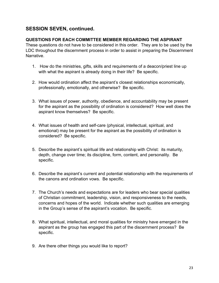## **SESSION SEVEN, continued.**

#### **QUESTIONS FOR EACH COMMITTEE MEMBER REGARDING THE ASPIRANT**

These questions do not have to be considered in this order. They are to be used by the LDC throughout the discernment process in order to assist in preparing the Discernment Narrative.

- 1. How do the ministries, gifts, skills and requirements of a deacon/priest line up with what the aspirant is already doing in their life? Be specific.
- 2. How would ordination affect the aspirant's closest relationships economically, professionally, emotionally, and otherwise? Be specific.
- 3. What issues of power, authority, obedience, and accountability may be present for the aspirant as the possibility of ordination is considered? How well does the aspirant know themselves? Be specific.
- 4. What issues of health and self-care (physical, intellectual, spiritual, and emotional) may be present for the aspirant as the possibility of ordination is considered? Be specific.
- 5. Describe the aspirant's spiritual life and relationship with Christ: its maturity, depth, change over time; its discipline, form, content, and personality. Be specific.
- 6. Describe the aspirant's current and potential relationship with the requirements of the canons and ordination vows. Be specific.
- 7. The Church's needs and expectations are for leaders who bear special qualities of Christian commitment, leadership, vision, and responsiveness to the needs, concerns and hopes of the world. Indicate whether such qualities are emerging in the Group's sense of the aspirant's vocation. Be specific.
- 8. What spiritual, intellectual, and moral qualities for ministry have emerged in the aspirant as the group has engaged this part of the discernment process? Be specific.
- 9. Are there other things you would like to report?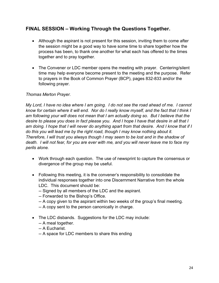## **FINAL SESSION – Working Through the Questions Together.**

- Although the aspirant is not present for this session, inviting them to come after the session might be a good way to have some time to share together how the process has been, to thank one another for what each has offered to the times together and to pray together.
- The Convener or LDC member opens the meeting with prayer. Centering/silent time may help everyone become present to the meeting and the purpose. Refer to prayers in the Book of Common Prayer (BCP), pages 832-833 and/or the following prayer.

#### *Thomas Merton Prayer.*

*My Lord, I have no idea where I am going. I do not see the road ahead of me. I cannot* know for certain where it will end. Nor do I really know myself, and the fact that I think I *am following your will does not mean that I am actually doing so. But I believe that the desire to please you does in fact please you. And I hope I have that desire in all that I am doing. I hope that I will never do anything apart from that desire. And I know that if I do this you will lead me by the right road, though I may know nothing about it. Therefore, I will trust you always though I may seem to be lost and in the shadow of death. I will not fear, for you are ever with me, and you will never leave me to face my perils alone.*

- Work through each question. The use of newsprint to capture the consensus or divergence of the group may be useful.
- Following this meeting, it is the convener's responsibility to consolidate the individual responses together into one Discernment Narrative from the whole LDC. This document should be:
	- -- Signed by all members of the LDC and the aspirant.
	- -- Forwarded to the Bishop's Office.
	- -- A copy given to the aspirant within two weeks of the group's final meeting.
	- -- A copy sent to the person canonically in charge.
- The LDC disbands. Suggestions for the LDC may include:
	- -- A meal together.
	- -- A Eucharist.
	- -- A space for LDC members to share this ending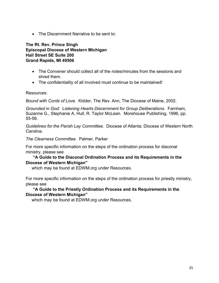• The Discernment Narrative to be sent to:

**The Rt. Rev. Prince Singh Episcopal Diocese of Western Michigan Hall Street SE Suite 200 Grand Rapids, MI 49506**

- The Convener should collect all of the notes/minutes from the sessions and shred them.
- The confidentiality of all involved must continue to be maintained!

Resources:

*Bound with Cords of Love.* Kidder, The Rev. Ann, The Diocese of Maine, 2002.

*Grounded in God: Listening Hearts Discernment for Group Deliberations.* Farnham, Suzanne G., Stephanie A. Hull, R. Taylor McLean. Morehouse Publishing, 1996, pp. 55-56.

*Guidelines for the Parish Lay Committee.* Diocese of Atlanta; Diocese of Western North Carolina.

*The Clearness Committee.* Palmer, Parker

For more specific information on the steps of the ordination process for diaconal ministry, please see

#### **"A Guide to the Diaconal Ordination Process and its Requirements in the Diocese of Western Michigan"**

which may be found at EDWM.org under Resources.

For more specific information on the steps of the ordination process for priestly ministry, please see

#### **"A Guide to the Priestly Ordination Process and its Requirements in the Diocese of Western Michigan"**

which may be found at EDWM.org under Resources.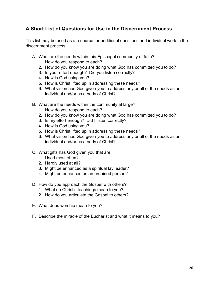## **A Short List of Questions for Use in the Discernment Process**

This list may be used as a resource for additional questions and individual work in the discernment process.

- A. What are the needs within this Episcopal community of faith?
	- 1. How do you respond to each?
	- 2. How do you know you are doing what God has committed you to do?
	- 3. Is your effort enough? Did you listen correctly?
	- 4. How is God using you?
	- 5. How is Christ lifted up in addressing these needs?
	- 6. What vision has God given you to address any or all of the needs as an individual and/or as a body of Christ?
- B. What are the needs within the community at large?
	- 1. How do you respond to each?
	- 2. How do you know you are doing what God has committed you to do?
	- 3. Is my effort enough? Did I listen correctly?
	- 4. How is God using you?
	- 5. How is Christ lifted up in addressing these needs?
	- 6. What vision has God given you to address any or all of the needs as an individual and/or as a body of Christ?
- C. What gifts has God given you that are:
	- 1. Used most often?
	- 2. Hardly used at all?
	- 3. Might be enhanced as a spiritual lay leader?
	- 4. Might be enhanced as an ordained person?
- D. How do you approach the Gospel with others?
	- 1. What do Christ's teachings mean to you?
	- 2. How do you articulate the Gospel to others?
- E. What does worship mean to you?
- F. Describe the miracle of the Eucharist and what it means to you?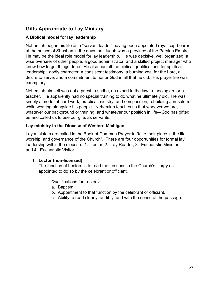## **Gifts Appropriate to Lay Ministry**

#### **A Biblical model for lay leadership**

Nehemiah began his life as a "servant leader" having been appointed royal cup-bearer at the palace of Shushan in the days that Judah was a province of the Persian Empire. He may be the ideal role model for lay leadership. He was decisive, well organized, a wise overseer of other people, a good administrator, and a skilled project manager who knew how to get things done. He also had all the biblical qualifications for spiritual leadership: godly character, a consistent testimony, a burning zeal for the Lord, a desire to serve, and a commitment to honor God in all that he did. His prayer life was exemplary.

Nehemiah himself was not a priest, a scribe, an expert in the law, a theologian, or a teacher. He apparently had no special training to do what he ultimately did. He was simply a model of hard work, practical ministry, and compassion, rebuilding Jerusalem while working alongside his people. Nehemiah teaches us that whoever we are, whatever our background or training, and whatever our position in life—God has gifted us and called us to use our gifts as servants.

#### **Lay ministry in the Diocese of Western Michigan**

Lay ministers are called in the Book of Common Prayer to "take their place in the life, worship, and governance of the Church". There are four opportunities for formal lay leadership within the diocese: 1. Lector, 2. Lay Reader, 3. Eucharistic Minister, and 4. Eucharistic Visitor.

#### 1. **Lector (non-licensed)**

The function of Lectors is to read the Lessons in the Church's liturgy as appointed to do so by the celebrant or officiant.

Qualifications for Lectors:

- a. Baptism
- b. Appointment to that function by the celebrant or officiant.
- c. Ability to read clearly, audibly, and with the sense of the passage.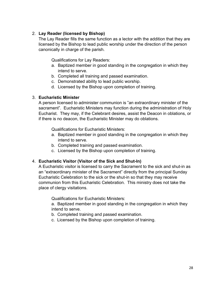#### 2. **Lay Reader (licensed by Bishop)**

The Lay Reader fills the same function as a lector with the addition that they are licensed by the Bishop to lead public worship under the direction of the person canonically in charge of the parish.

Qualifications for Lay Readers:

- a. Baptized member in good standing in the congregation in which they intend to serve.
- b. Completed all training and passed examination.
- c. Demonstrated ability to lead public worship.
- d. Licensed by the Bishop upon completion of training.

#### 3. **Eucharistic Minister**

A person licensed to administer communion is "an extraordinary minister of the sacrament". Eucharistic Ministers may function during the administration of Holy Eucharist. They may, if the Celebrant desires, assist the Deacon in oblations, or if there is no deacon, the Eucharistic Minister may do oblations.

Qualifications for Eucharistic Ministers:

- a. Baptized member in good standing in the congregation in which they intend to serve.
- b. Completed training and passed examination.
- c. Licensed by the Bishop upon completion of training.

#### 4. **Eucharistic Visitor (Visitor of the Sick and Shut-In)**

A Eucharistic visitor is licensed to carry the Sacrament to the sick and shut-in as an "extraordinary minister of the Sacrament" directly from the principal Sunday Eucharistic Celebration to the sick or the shut-in so that they may receive communion from this Eucharistic Celebration. This ministry does not take the place of clergy visitations.

Qualifications for Eucharistic Ministers:

a. Baptized member in good standing in the congregation in which they intend to serve.

- b. Completed training and passed examination.
- c. Licensed by the Bishop upon completion of training.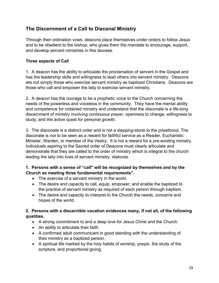## **The Discernment of a Call to Diaconal Ministry**

Through their ordination vows, deacons place themselves under orders to follow Jesus and to be obedient to the bishop, who gives them the mandate to encourage, support, and develop servant ministries in this diocese.

#### **Three aspects of Call**

1. A deacon has the ability to articulate the proclamation of servant in the Gospel and has the leadership skills and willingness to lead others into servant ministry. Deacons are not simply those who exercise servant ministry as baptized Christians. Deacons are those who call and empower the laity to exercise servant ministry.

2. A deacon has the courage to be a prophetic voice to the Church concerning the needs of the powerless and voiceless in the community. They have the mental ability and competence for ordained ministry and understand that the diaconate is a life-long discernment of ministry involving continuous prayer, openness to change, willingness to study, and the active quest for personal growth.

3. The diaconate is a distinct order and is not a stepping-stone to the priesthood. The diaconate is not to be seen as a reward for faithful service as a Reader, Eucharistic Minister, Warden, or member of the Vestry. It is not a reward for a pre-existing ministry. Individuals aspiring to the Sacred order of Deacons must clearly articulate and demonstrate that they are called to the order of ministry which is integral to the church leading the laity into lives of servant ministry, *diakonia.*

#### **1. Persons with a sense of "call" will be recognized by themselves and by the Church as meeting three fundamental requirements".**

- The exercise of a servant ministry in the world.
- The desire and capacity to call, equip, empower, and enable the baptized to the practice of servant ministry as required of each person through baptism.
- The desire and capacity to interpret to the Church the needs, concerns and hopes of the world.

#### **2. Persons with a discernible vocation evidences many, if not all, of the following qualities.**

- A strong commitment to and a deep love for Jesus Christ and the Church.
- An ability to articulate their faith.
- A confirmed adult communicant in good standing with the understanding of their ministry as a baptized person.
- A spiritual life marked by the holy habits of worship, prayer, the study of the scripture, and proportional giving.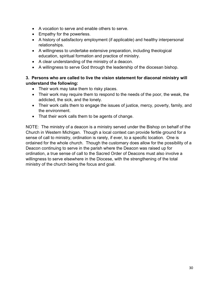- A vocation to serve and enable others to serve.
- Empathy for the powerless.
- A history of satisfactory employment (if applicable) and healthy interpersonal relationships.
- A willingness to undertake extensive preparation, including theological education, spiritual formation and practice of ministry.
- A clear understanding of the ministry of a deacon.
- A willingness to serve God through the leadership of the diocesan bishop.

#### **3. Persons who are called to live the vision statement for diaconal ministry will understand the following:**

- Their work may take them to risky places.
- Their work may require them to respond to the needs of the poor, the weak, the addicted, the sick, and the lonely.
- Their work calls them to engage the issues of justice, mercy, poverty, family, and the environment.
- That their work calls them to be agents of change.

NOTE: The ministry of a deacon is a ministry served under the Bishop on behalf of the Church in Western Michigan. Though a local context can provide fertile ground for a sense of call to ministry, ordination is rarely, if ever, to a specific location. One is ordained for the whole church. Though the customary does allow for the possibility of a Deacon continuing to serve in the parish where the Deacon was raised up for ordination, a true sense of call to the Sacred Order of Deacons must also involve a willingness to serve elsewhere in the Diocese, with the strengthening of the total ministry of the church being the focus and goal.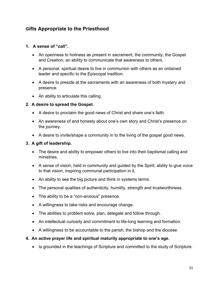## **Gifts Appropriate to the Priesthood**

#### **1. A sense of "call".**

- An openness to holiness as present in sacrament, the community, the Gospel and Creation; an ability to communicate that awareness to others.
- A personal, spiritual desire to live in communion with others as an ordained leader and specific to the Episcopal tradition.
- A desire to preside at the sacraments with an awareness of both mystery and presence.
- An ability to articulate this calling.

#### **2. A desire to spread the Gospel.**

- A desire to proclaim the good news of Christ and share one's faith.
- An awareness of and honesty about one's own story and Christ's presence on the journey.
- A desire to invite/shape a community in to the living of the gospel good news.

#### **3. A gift of leadership.**

- The desire and ability to empower others to live into their baptismal calling and ministries.
- A sense of vision, held in community and quided by the Spirit; ability to give voice to that vision, inspiring communal participation in it.
- An ability to see the big picture and think in systems terms.
- The personal qualities of authenticity, humility, strength and trustworthiness.
- The ability to be a "non-anxious" presence.
- A willingness to take risks and encourage change.
- The abilities to problem solve, plan, delegate and follow through.
- An intellectual curiosity and commitment to life-long learning and formation.
- A willingness to be accountable to the parish, the bishop and the diocese.

#### **4. An active prayer life and spiritual maturity appropriate to one's age.**

• Is grounded in the teachings of Scripture and committed to the study of Scripture.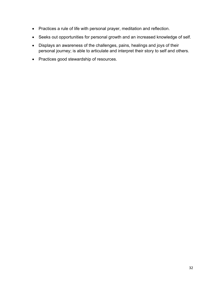- Practices a rule of life with personal prayer, meditation and reflection.
- Seeks out opportunities for personal growth and an increased knowledge of self.
- Displays an awareness of the challenges, pains, healings and joys of their personal journey; is able to articulate and interpret their story to self and others.
- Practices good stewardship of resources.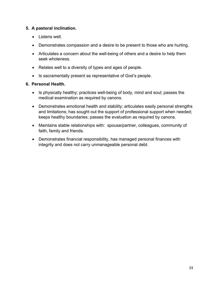#### **5. A pastoral inclination.**

- Listens well.
- Demonstrates compassion and a desire to be present to those who are hurting.
- Articulates a concern about the well-being of others and a desire to help them seek wholeness.
- Relates well to a diversity of types and ages of people.
- Is sacramentally present as representative of God's people.

#### **6. Personal Health.**

- Is physically healthy; practices well-being of body, mind and soul; passes the medical examination as required by canons.
- Demonstrates emotional health and stability; articulates easily personal strengths and limitations; has sought out the support of professional support when needed; keeps healthy boundaries; passes the evaluation as required by canons.
- Maintains stable relationships with: spouse/partner, colleagues, community of faith, family and friends.
- Demonstrates financial responsibility, has managed personal finances with integrity and does not carry unmanageable personal debt.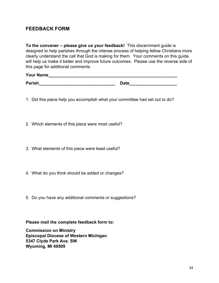## **FEEDBACK FORM**

**To the convener – please give us your feedback!** This discernment guide is designed to help parishes through the intense process of helping fellow Christians more clearly understand the call that God is making for them. Your comments on this guide will help us make it better and improve future outcomes. Please use the reverse side of this page for additional comments.

## **Your Name\_\_\_\_\_\_\_\_\_\_\_\_\_\_\_\_\_\_\_\_\_\_\_\_\_\_\_\_\_\_\_\_\_\_\_\_\_\_\_\_\_\_\_\_\_\_\_\_\_\_\_\_\_\_**

**Parish\_\_\_\_\_\_\_\_\_\_\_\_\_\_\_\_\_\_\_\_\_\_\_\_\_\_\_\_\_\_\_\_ Date\_\_\_\_\_\_\_\_\_\_\_\_\_\_\_\_\_\_\_\_**

- 1. Did this piece help you accomplish what your committee had set out to do?
- 2. Which elements of this piece were most useful?
- 3. What elements of this piece were least useful?
- 4. What do you think should be added or changes?
- 5. Do you have any additional comments or suggestions?

**Please mail the complete feedback form to:**

**Commission on Ministry Episcopal Diocese of Western Michigan 5347 Clyde Park Ave. SW Wyoming, MI 49509**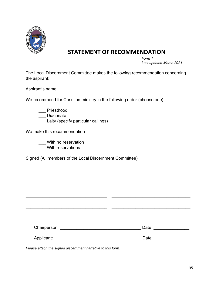

## **STATEMENT OF RECOMMENDATION**

*Form 1 Last updated March 2021*

The Local Discernment Committee makes the following recommendation concerning the aspirant:

Aspirant's name

We recommend for Christian ministry in the following order (choose one)

\_\_\_ Priesthood

\_\_\_ Diaconate

\_\_\_ Laity (specify particular callings)\_\_\_\_\_\_\_\_\_\_\_\_\_\_\_\_\_\_\_\_\_\_\_\_\_\_\_\_\_\_\_\_\_

We make this recommendation

\_\_\_ With no reservation

\_\_\_ With reservations

Signed (All members of the Local Discernment Committee)

| Chairperson: Management Chairperson: | Date: |
|--------------------------------------|-------|
| Applicant:                           | Date: |

 $\mathcal{L}_\text{max}$  , and the contribution of the contribution of the contribution of the contribution of the contribution of the contribution of the contribution of the contribution of the contribution of the contribution of t

*Please attach the signed discernment narrative to this form.*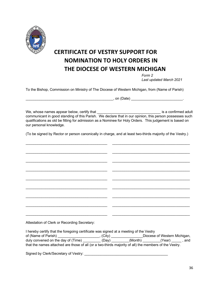

# **CERTIFICATE OF VESTRY SUPPORT FOR NOMINATION TO HOLY ORDERS IN THE DIOCESE OF WESTERN MICHIGAN**

*Form 2 Last updated March 2021*

To the Bishop, Commission on Ministry of The Diocese of Western Michigan, from (Name of Parish)

\_\_\_\_\_\_\_\_\_\_\_\_\_\_\_\_\_\_\_\_\_\_\_\_\_\_\_\_\_\_\_\_\_\_\_\_\_\_\_\_\_\_\_\_, on (Date) \_\_\_\_\_\_\_\_\_\_\_\_\_\_\_\_\_\_\_\_\_\_\_\_\_\_.

We, whose names appear below, certify that \_\_\_\_\_\_\_\_\_\_\_\_\_\_\_\_\_\_\_\_\_\_\_\_\_\_\_\_\_\_\_\_ is a confirmed adult communicant in good standing of this Parish. We declare that in our opinion, this person possesses such qualifications as old be fitting for admission as a Nominee for Holy Orders. This judgement is based on our personal knowledge.

(To be signed by Rector or person canonically in charge, and at least two-thirds majority of the Vestry.)

\_\_\_\_\_\_\_\_\_\_\_\_\_\_\_\_\_\_\_\_\_\_\_\_\_\_\_\_\_\_\_\_\_\_\_\_\_\_\_\_\_ \_\_\_\_\_\_\_\_\_\_\_\_\_\_\_\_\_\_\_\_\_\_\_\_\_\_\_\_\_\_\_\_\_\_\_\_\_\_\_

\_\_\_\_\_\_\_\_\_\_\_\_\_\_\_\_\_\_\_\_\_\_\_\_\_\_\_\_\_\_\_\_\_\_\_\_\_\_\_\_\_ \_\_\_\_\_\_\_\_\_\_\_\_\_\_\_\_\_\_\_\_\_\_\_\_\_\_\_\_\_\_\_\_\_\_\_\_\_\_\_ \_\_\_\_\_\_\_\_\_\_\_\_\_\_\_\_\_\_\_\_\_\_\_\_\_\_\_\_\_\_\_\_\_\_\_\_\_\_\_\_\_ \_\_\_\_\_\_\_\_\_\_\_\_\_\_\_\_\_\_\_\_\_\_\_\_\_\_\_\_\_\_\_\_\_\_\_\_\_\_\_  $\mathcal{L}_\text{max}$  , and the contribution of the contribution of the contribution of the contribution of the contribution of the contribution of the contribution of the contribution of the contribution of the contribution of t  $\mathcal{L}_\text{max}$  , and the contribution of the contribution of the contribution of the contribution of the contribution of the contribution of the contribution of the contribution of the contribution of the contribution of t \_\_\_\_\_\_\_\_\_\_\_\_\_\_\_\_\_\_\_\_\_\_\_\_\_\_\_\_\_\_\_\_\_\_\_\_\_\_\_\_\_ \_\_\_\_\_\_\_\_\_\_\_\_\_\_\_\_\_\_\_\_\_\_\_\_\_\_\_\_\_\_\_\_\_\_\_\_\_\_\_ \_\_\_\_\_\_\_\_\_\_\_\_\_\_\_\_\_\_\_\_\_\_\_\_\_\_\_\_\_\_\_\_\_\_\_\_\_\_\_\_\_ \_\_\_\_\_\_\_\_\_\_\_\_\_\_\_\_\_\_\_\_\_\_\_\_\_\_\_\_\_\_\_\_\_\_\_\_\_\_\_ \_\_\_\_\_\_\_\_\_\_\_\_\_\_\_\_\_\_\_\_\_\_\_\_\_\_\_\_\_\_\_\_\_\_\_\_\_\_\_\_\_ \_\_\_\_\_\_\_\_\_\_\_\_\_\_\_\_\_\_\_\_\_\_\_\_\_\_\_\_\_\_\_\_\_\_\_\_\_\_\_ \_\_\_\_\_\_\_\_\_\_\_\_\_\_\_\_\_\_\_\_\_\_\_\_\_\_\_\_\_\_\_\_\_\_\_\_\_\_\_\_\_ \_\_\_\_\_\_\_\_\_\_\_\_\_\_\_\_\_\_\_\_\_\_\_\_\_\_\_\_\_\_\_\_\_\_\_\_\_\_\_ Attestation of Clerk or Recording Secretary:

I hereby certify that the foregoing certificate was signed at a meeting of the Vestry of (Name of Parish) \_\_\_\_\_\_\_\_\_\_\_\_\_\_\_\_\_\_\_\_\_, (City) \_\_\_\_\_\_\_\_\_\_\_\_\_\_\_\_Diocese of Western Michigan, duly convened on the day of (Time) \_\_\_\_\_\_\_\_\_\_(Day) \_\_\_\_\_\_\_(Month) \_\_\_\_\_\_\_\_(Year) \_\_\_\_\_, and that the names attached are those of all (or a two-thirds majority of all) the members of the Vestry.

Signed by Clerk/Secretary of Vestry: \_\_\_\_\_\_\_\_\_\_\_\_\_\_\_\_\_\_\_\_\_\_\_\_\_\_\_\_\_\_\_\_\_\_\_\_\_\_\_\_\_\_